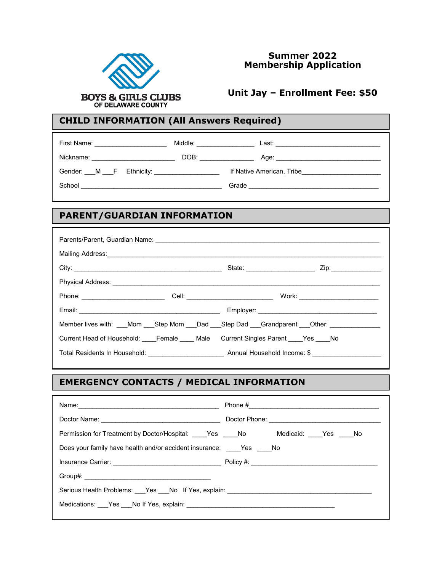

#### **Summer 2022 Membership Application**

#### **Unit Jay – Enrollment Fee: \$50**

#### **CHILD INFORMATION (All Answers Required)**

| First Name: <u>___________________</u> | Middle: <b>Middle</b> Service Service Service Service Service Service Service Service Service Service Service Service Service Service Service Service Service Service Service Service Service Service Service Service Service Servi | Last: ______________________________                                                                                                                                                                                           |
|----------------------------------------|-------------------------------------------------------------------------------------------------------------------------------------------------------------------------------------------------------------------------------------|--------------------------------------------------------------------------------------------------------------------------------------------------------------------------------------------------------------------------------|
| Nickname:                              | DOB: the contract of the contract of the contract of the contract of the contract of the contract of the contract of the contract of the contract of the contract of the contract of the contract of the contract of the contr      | Age: the contract of the contract of the contract of the contract of the contract of the contract of the contract of the contract of the contract of the contract of the contract of the contract of the contract of the contr |
| Gender: M F Ethnicity:                 |                                                                                                                                                                                                                                     | If Native American, Tribe                                                                                                                                                                                                      |
| School                                 |                                                                                                                                                                                                                                     | Grade                                                                                                                                                                                                                          |

# **PARENT/GUARDIAN INFORMATION**

|  | Member lives with: ___Mom ___Step Mom ___Dad ___Step Dad ___Grandparent ___Other: ____________ |  |  |  |
|--|------------------------------------------------------------------------------------------------|--|--|--|
|  | Current Head of Household: Female Male Current Singles Parent Yes No                           |  |  |  |
|  |                                                                                                |  |  |  |

# **EMERGENCY CONTACTS / MEDICAL INFORMATION**

| Permission for Treatment by Doctor/Hospital: ____Yes ____No Medicaid: ____Yes ____No |  |  |  |  |
|--------------------------------------------------------------------------------------|--|--|--|--|
| Does your family have health and/or accident insurance: Yes No                       |  |  |  |  |
|                                                                                      |  |  |  |  |
|                                                                                      |  |  |  |  |
| Serious Health Problems: __Yes __No If Yes, explain: ___________________________     |  |  |  |  |
|                                                                                      |  |  |  |  |